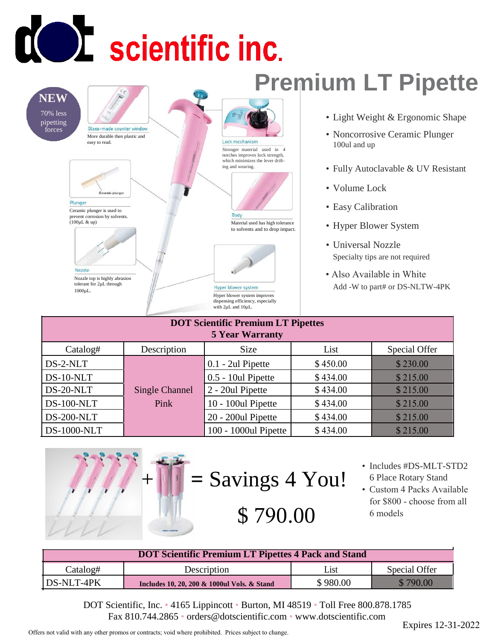## **COL** scientific inc.

## **NEW**

70% less pipetting forces

Glass-made counter window More durable then plastic and easy to read.



Plunger

Ceramic plunger is used to prevent corrosion by solvents. (100µL & up)



Nozzle top is highly abrasion tolerant for 2µL through 1000µL.

## **Premium LT Pipette** Lock mechanism Stronger material used in 4 notches improves lock strength, which minimizes the lever drifting and wearing.



Body Material used has high tolerance to solvents and to drop impact.



Hyper blower system Hyper blower system improves dispensing efficiency, especially with 2µL and 10µL

- Light Weight & Ergonomic Shape
- Noncorrosive Ceramic Plunger 100ul and up
- Fully Autoclavable & UV Resistant
- Volume Lock
- Easy Calibration
- Hyper Blower System
- Universal Nozzle Specialty tips are not required
- Also Available in White Add -W to part# or DS-NLTW-4PK

| <b>DOT Scientific Premium LT Pipettes</b><br><b>5 Year Warranty</b> |                        |                      |          |               |  |  |
|---------------------------------------------------------------------|------------------------|----------------------|----------|---------------|--|--|
| Catalog#                                                            | Description            | Size                 | List     | Special Offer |  |  |
| DS-2-NLT                                                            | Single Channel<br>Pink | $0.1 - 2ul$ Pipette  | \$450.00 | \$230.00      |  |  |
| DS-10-NLT                                                           |                        | 0.5 - 10ul Pipette   | \$434.00 | \$215.00      |  |  |
| DS-20-NLT                                                           |                        | 2 - 20ul Pipette     | \$434.00 | \$215.00      |  |  |
| $DS-100-NLT$                                                        |                        | 10 - 100ul Pipette   | \$434.00 | \$215.00      |  |  |
| <b>DS-200-NLT</b>                                                   |                        | 20 - 200ul Pipette   | \$434.00 | \$215.00      |  |  |
| <b>DS-1000-NLT</b>                                                  |                        | 100 - 1000ul Pipette | \$434.00 | \$215.00      |  |  |





- \$ 790.00
- Includes #DS-MLT-STD2 6 Place Rotary Stand
- Custom 4 Packs Available for \$800 - choose from all 6 models

| <b>DOT Scientific Premium LT Pipettes 4 Pack and Stand</b> |                                             |          |               |  |
|------------------------------------------------------------|---------------------------------------------|----------|---------------|--|
| Catalog#                                                   | Description                                 | List     | Special Offer |  |
| DS-NLT-4PK                                                 | Includes 10, 20, 200 & 1000ul Vols. & Stand | \$980.00 | \$790.00      |  |

DOT Scientific, Inc. • 4165 Lippincott • Burton, MI 48519 • Toll Free 800.878.1785 Fax 810.744.2865 • orders@dotscientific.com • www.dotscientific.com

Offers not valid with any other promos or contracts; void where prohibited. Prices subject to change.